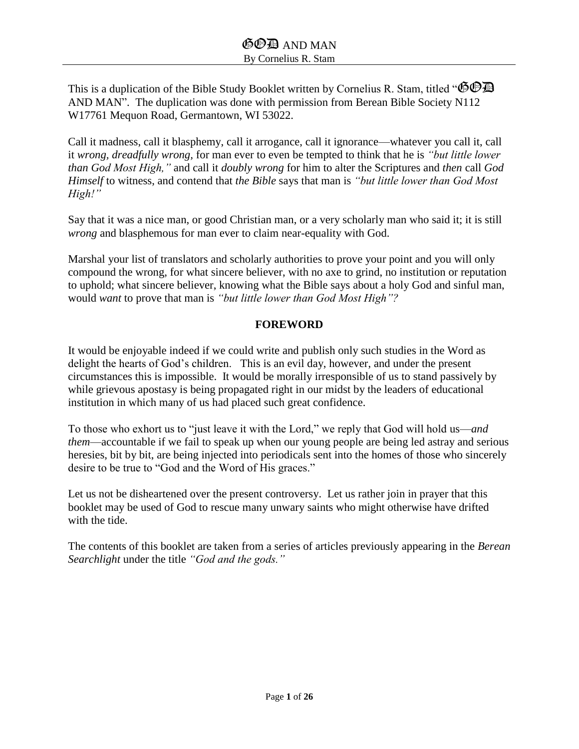This is a duplication of the Bible Study Booklet written by Cornelius R. Stam, titled " $\bullet$  $\bullet$ AND MAN". The duplication was done with permission from Berean Bible Society N112 W17761 Mequon Road, Germantown, WI 53022.

Call it madness, call it blasphemy, call it arrogance, call it ignorance—whatever you call it, call it *wrong, dreadfully wrong,* for man ever to even be tempted to think that he is *"but little lower than God Most High,"* and call it *doubly wrong* for him to alter the Scriptures and *then* call *God Himself* to witness, and contend that *the Bible* says that man is *"but little lower than God Most High!"*

Say that it was a nice man, or good Christian man, or a very scholarly man who said it; it is still *wrong* and blasphemous for man ever to claim near-equality with God.

Marshal your list of translators and scholarly authorities to prove your point and you will only compound the wrong, for what sincere believer, with no axe to grind, no institution or reputation to uphold; what sincere believer, knowing what the Bible says about a holy God and sinful man, would *want* to prove that man is *"but little lower than God Most High"?*

#### **FOREWORD**

It would be enjoyable indeed if we could write and publish only such studies in the Word as delight the hearts of God's children. This is an evil day, however, and under the present circumstances this is impossible. It would be morally irresponsible of us to stand passively by while grievous apostasy is being propagated right in our midst by the leaders of educational institution in which many of us had placed such great confidence.

To those who exhort us to "just leave it with the Lord," we reply that God will hold us—*and them*—accountable if we fail to speak up when our young people are being led astray and serious heresies, bit by bit, are being injected into periodicals sent into the homes of those who sincerely desire to be true to "God and the Word of His graces."

Let us not be disheartened over the present controversy. Let us rather join in prayer that this booklet may be used of God to rescue many unwary saints who might otherwise have drifted with the tide.

The contents of this booklet are taken from a series of articles previously appearing in the *Berean Searchlight* under the title *"God and the gods."*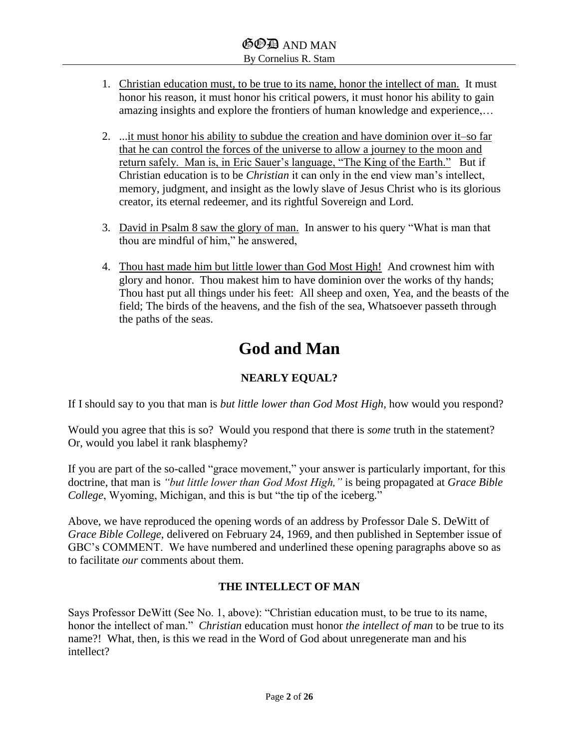- 1. Christian education must, to be true to its name, honor the intellect of man. It must honor his reason, it must honor his critical powers, it must honor his ability to gain amazing insights and explore the frontiers of human knowledge and experience,…
- 2. ...it must honor his ability to subdue the creation and have dominion over it–so far that he can control the forces of the universe to allow a journey to the moon and return safely. Man is, in Eric Sauer's language, "The King of the Earth." But if Christian education is to be *Christian* it can only in the end view man's intellect, memory, judgment, and insight as the lowly slave of Jesus Christ who is its glorious creator, its eternal redeemer, and its rightful Sovereign and Lord.
- 3. David in Psalm 8 saw the glory of man. In answer to his query "What is man that thou are mindful of him," he answered,
- 4. Thou hast made him but little lower than God Most High! And crownest him with glory and honor. Thou makest him to have dominion over the works of thy hands; Thou hast put all things under his feet: All sheep and oxen, Yea, and the beasts of the field; The birds of the heavens, and the fish of the sea, Whatsoever passeth through the paths of the seas.

# **God and Man**

## **NEARLY EQUAL?**

If I should say to you that man is *but little lower than God Most High,* how would you respond?

Would you agree that this is so? Would you respond that there is *some* truth in the statement? Or, would you label it rank blasphemy?

If you are part of the so-called "grace movement," your answer is particularly important, for this doctrine, that man is *"but little lower than God Most High,"* is being propagated at *Grace Bible College*, Wyoming, Michigan, and this is but "the tip of the iceberg."

Above, we have reproduced the opening words of an address by Professor Dale S. DeWitt of *Grace Bible College*, delivered on February 24, 1969, and then published in September issue of GBC's COMMENT. We have numbered and underlined these opening paragraphs above so as to facilitate *our* comments about them.

## **THE INTELLECT OF MAN**

Says Professor DeWitt (See No. 1, above): "Christian education must, to be true to its name, honor the intellect of man." *Christian* education must honor *the intellect of man* to be true to its name?! What, then, is this we read in the Word of God about unregenerate man and his intellect?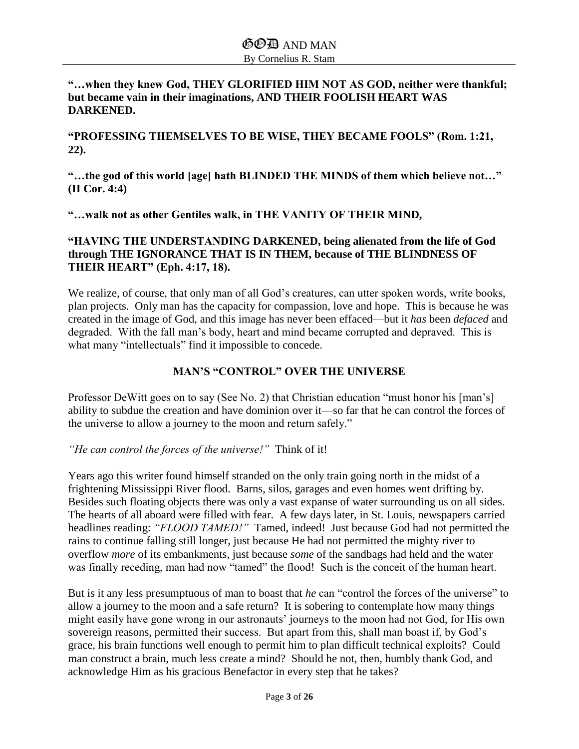## **"…when they knew God, THEY GLORIFIED HIM NOT AS GOD, neither were thankful; but became vain in their imaginations, AND THEIR FOOLISH HEART WAS DARKENED.**

**"PROFESSING THEMSELVES TO BE WISE, THEY BECAME FOOLS" (Rom. 1:21, 22).**

**"…the god of this world [age] hath BLINDED THE MINDS of them which believe not…" (II Cor. 4:4)**

**"…walk not as other Gentiles walk, in THE VANITY OF THEIR MIND,**

## **"HAVING THE UNDERSTANDING DARKENED, being alienated from the life of God through THE IGNORANCE THAT IS IN THEM, because of THE BLINDNESS OF THEIR HEART" (Eph. 4:17, 18).**

We realize, of course, that only man of all God's creatures, can utter spoken words, write books, plan projects. Only man has the capacity for compassion, love and hope. This is because he was created in the image of God, and this image has never been effaced—but it *has* been *defaced* and degraded. With the fall man's body, heart and mind became corrupted and depraved. This is what many "intellectuals" find it impossible to concede.

## **MAN'S "CONTROL" OVER THE UNIVERSE**

Professor DeWitt goes on to say (See No. 2) that Christian education "must honor his [man's] ability to subdue the creation and have dominion over it—so far that he can control the forces of the universe to allow a journey to the moon and return safely."

*"He can control the forces of the universe!"* Think of it!

Years ago this writer found himself stranded on the only train going north in the midst of a frightening Mississippi River flood. Barns, silos, garages and even homes went drifting by. Besides such floating objects there was only a vast expanse of water surrounding us on all sides. The hearts of all aboard were filled with fear. A few days later, in St. Louis, newspapers carried headlines reading: *"FLOOD TAMED!"* Tamed, indeed! Just because God had not permitted the rains to continue falling still longer, just because He had not permitted the mighty river to overflow *more* of its embankments, just because *some* of the sandbags had held and the water was finally receding, man had now "tamed" the flood! Such is the conceit of the human heart.

But is it any less presumptuous of man to boast that *he* can "control the forces of the universe" to allow a journey to the moon and a safe return? It is sobering to contemplate how many things might easily have gone wrong in our astronauts' journeys to the moon had not God, for His own sovereign reasons, permitted their success. But apart from this, shall man boast if, by God's grace, his brain functions well enough to permit him to plan difficult technical exploits? Could man construct a brain, much less create a mind? Should he not, then, humbly thank God, and acknowledge Him as his gracious Benefactor in every step that he takes?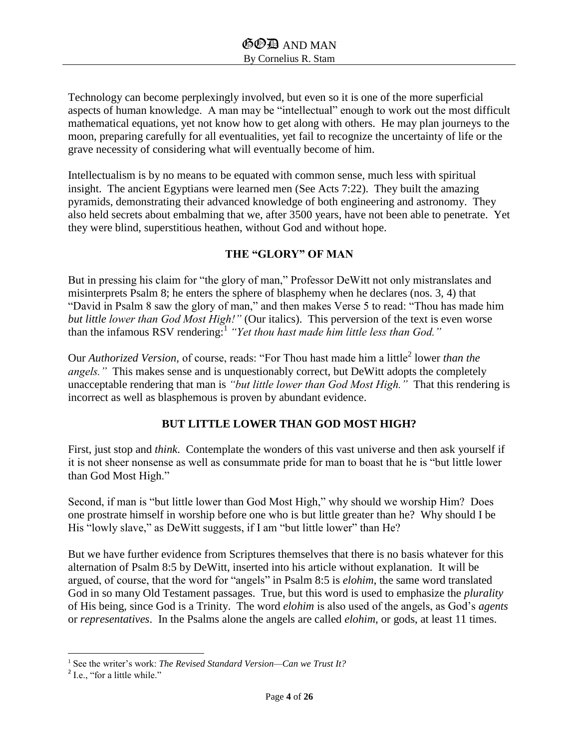Technology can become perplexingly involved, but even so it is one of the more superficial aspects of human knowledge. A man may be "intellectual" enough to work out the most difficult mathematical equations, yet not know how to get along with others. He may plan journeys to the moon, preparing carefully for all eventualities, yet fail to recognize the uncertainty of life or the grave necessity of considering what will eventually become of him.

Intellectualism is by no means to be equated with common sense, much less with spiritual insight. The ancient Egyptians were learned men (See Acts 7:22). They built the amazing pyramids, demonstrating their advanced knowledge of both engineering and astronomy. They also held secrets about embalming that we, after 3500 years, have not been able to penetrate. Yet they were blind, superstitious heathen, without God and without hope.

## **THE "GLORY" OF MAN**

But in pressing his claim for "the glory of man," Professor DeWitt not only mistranslates and misinterprets Psalm 8; he enters the sphere of blasphemy when he declares (nos. 3, 4) that "David in Psalm 8 saw the glory of man," and then makes Verse 5 to read: "Thou has made him *but little lower than God Most High!"* (Our italics). This perversion of the text is even worse than the infamous RSV rendering:<sup>1</sup> *"Yet thou hast made him little less than God."*

Our *Authorized Version*, of course, reads: "For Thou hast made him a little<sup>2</sup> lower *than the angels."* This makes sense and is unquestionably correct, but DeWitt adopts the completely unacceptable rendering that man is *"but little lower than God Most High."* That this rendering is incorrect as well as blasphemous is proven by abundant evidence.

## **BUT LITTLE LOWER THAN GOD MOST HIGH?**

First, just stop and *think*. Contemplate the wonders of this vast universe and then ask yourself if it is not sheer nonsense as well as consummate pride for man to boast that he is "but little lower than God Most High."

Second, if man is "but little lower than God Most High," why should we worship Him? Does one prostrate himself in worship before one who is but little greater than he? Why should I be His "lowly slave," as DeWitt suggests, if I am "but little lower" than He?

But we have further evidence from Scriptures themselves that there is no basis whatever for this alternation of Psalm 8:5 by DeWitt, inserted into his article without explanation. It will be argued, of course, that the word for "angels" in Psalm 8:5 is *elohim*, the same word translated God in so many Old Testament passages. True, but this word is used to emphasize the *plurality* of His being, since God is a Trinity. The word *elohim* is also used of the angels, as God's *agents*  or *representatives*. In the Psalms alone the angels are called *elohim*, or gods, at least 11 times.

l <sup>1</sup> See the writer's work: *The Revised Standard Version—Can we Trust It?*

 $2$  I.e., "for a little while."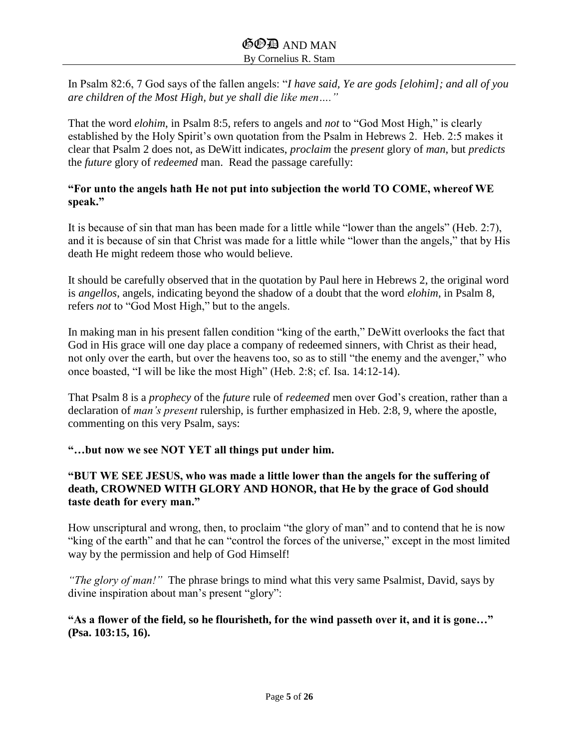In Psalm 82:6, 7 God says of the fallen angels: "*I have said, Ye are gods [elohim]; and all of you are children of the Most High, but ye shall die like men…."*

That the word *elohim*, in Psalm 8:5, refers to angels and *not* to "God Most High," is clearly established by the Holy Spirit's own quotation from the Psalm in Hebrews 2. Heb. 2:5 makes it clear that Psalm 2 does not, as DeWitt indicates, *proclaim* the *present* glory of *man*, but *predicts* the *future* glory of *redeemed* man. Read the passage carefully:

## **"For unto the angels hath He not put into subjection the world TO COME, whereof WE speak."**

It is because of sin that man has been made for a little while "lower than the angels" (Heb. 2:7), and it is because of sin that Christ was made for a little while "lower than the angels," that by His death He might redeem those who would believe.

It should be carefully observed that in the quotation by Paul here in Hebrews 2, the original word is *angellos*, angels, indicating beyond the shadow of a doubt that the word *elohim*, in Psalm 8, refers *not* to "God Most High," but to the angels.

In making man in his present fallen condition "king of the earth," DeWitt overlooks the fact that God in His grace will one day place a company of redeemed sinners, with Christ as their head, not only over the earth, but over the heavens too, so as to still "the enemy and the avenger," who once boasted, "I will be like the most High" (Heb. 2:8; cf. Isa. 14:12-14).

That Psalm 8 is a *prophecy* of the *future* rule of *redeemed* men over God's creation, rather than a declaration of *man's present* rulership, is further emphasized in Heb. 2:8, 9, where the apostle, commenting on this very Psalm, says:

## **"…but now we see NOT YET all things put under him.**

## **"BUT WE SEE JESUS, who was made a little lower than the angels for the suffering of death, CROWNED WITH GLORY AND HONOR, that He by the grace of God should taste death for every man."**

How unscriptural and wrong, then, to proclaim "the glory of man" and to contend that he is now "king of the earth" and that he can "control the forces of the universe," except in the most limited way by the permission and help of God Himself!

*"The glory of man!"* The phrase brings to mind what this very same Psalmist, David, says by divine inspiration about man's present "glory":

## **"As a flower of the field, so he flourisheth, for the wind passeth over it, and it is gone…" (Psa. 103:15, 16).**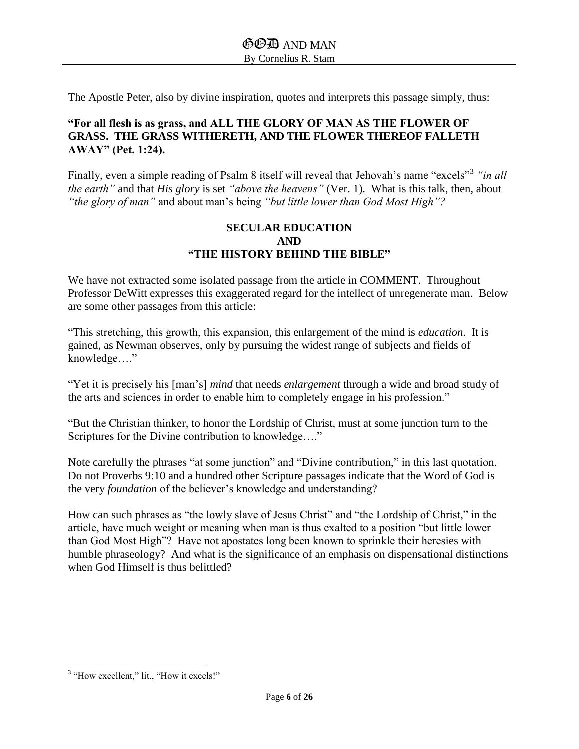The Apostle Peter, also by divine inspiration, quotes and interprets this passage simply, thus:

#### **"For all flesh is as grass, and ALL THE GLORY OF MAN AS THE FLOWER OF GRASS. THE GRASS WITHERETH, AND THE FLOWER THEREOF FALLETH AWAY" (Pet. 1:24).**

Finally, even a simple reading of Psalm 8 itself will reveal that Jehovah's name "excels"<sup>3</sup> "in all *the earth"* and that *His glory* is set *"above the heavens"* (Ver. 1). What is this talk, then, about *"the glory of man"* and about man's being *"but little lower than God Most High"?*

#### **SECULAR EDUCATION AND "THE HISTORY BEHIND THE BIBLE"**

We have not extracted some isolated passage from the article in COMMENT. Throughout Professor DeWitt expresses this exaggerated regard for the intellect of unregenerate man. Below are some other passages from this article:

"This stretching, this growth, this expansion, this enlargement of the mind is *education*. It is gained, as Newman observes, only by pursuing the widest range of subjects and fields of knowledge…."

"Yet it is precisely his [man's] *mind* that needs *enlargement* through a wide and broad study of the arts and sciences in order to enable him to completely engage in his profession."

"But the Christian thinker, to honor the Lordship of Christ, must at some junction turn to the Scriptures for the Divine contribution to knowledge…."

Note carefully the phrases "at some junction" and "Divine contribution," in this last quotation. Do not Proverbs 9:10 and a hundred other Scripture passages indicate that the Word of God is the very *foundation* of the believer's knowledge and understanding?

How can such phrases as "the lowly slave of Jesus Christ" and "the Lordship of Christ," in the article, have much weight or meaning when man is thus exalted to a position "but little lower than God Most High"? Have not apostates long been known to sprinkle their heresies with humble phraseology? And what is the significance of an emphasis on dispensational distinctions when God Himself is thus belittled?

 $\overline{\phantom{a}}$ <sup>3</sup> "How excellent," lit., "How it excels!"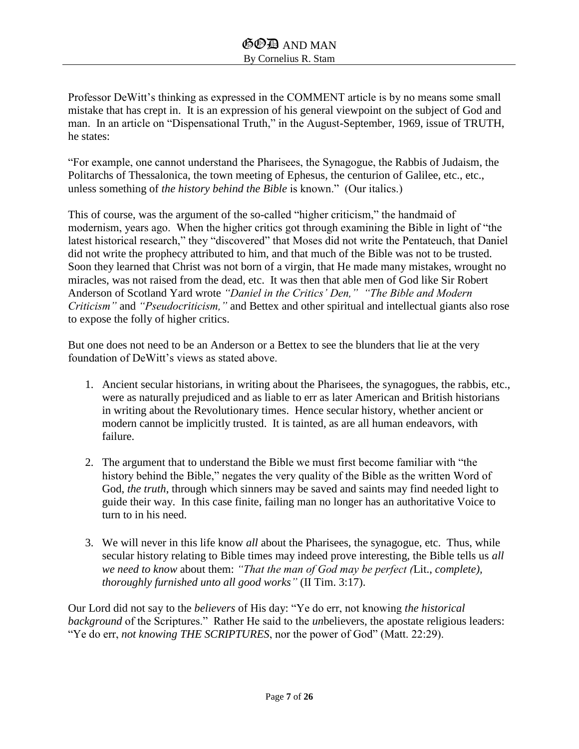Professor DeWitt's thinking as expressed in the COMMENT article is by no means some small mistake that has crept in. It is an expression of his general viewpoint on the subject of God and man. In an article on "Dispensational Truth," in the August-September, 1969, issue of TRUTH, he states:

"For example, one cannot understand the Pharisees, the Synagogue, the Rabbis of Judaism, the Politarchs of Thessalonica, the town meeting of Ephesus, the centurion of Galilee, etc., etc., unless something of *the history behind the Bible* is known." (Our italics.)

This of course, was the argument of the so-called "higher criticism," the handmaid of modernism, years ago. When the higher critics got through examining the Bible in light of "the latest historical research," they "discovered" that Moses did not write the Pentateuch, that Daniel did not write the prophecy attributed to him, and that much of the Bible was not to be trusted. Soon they learned that Christ was not born of a virgin, that He made many mistakes, wrought no miracles, was not raised from the dead, etc. It was then that able men of God like Sir Robert Anderson of Scotland Yard wrote *"Daniel in the Critics' Den," "The Bible and Modern Criticism"* and *"Pseudocriticism,"* and Bettex and other spiritual and intellectual giants also rose to expose the folly of higher critics.

But one does not need to be an Anderson or a Bettex to see the blunders that lie at the very foundation of DeWitt's views as stated above.

- 1. Ancient secular historians, in writing about the Pharisees, the synagogues, the rabbis, etc., were as naturally prejudiced and as liable to err as later American and British historians in writing about the Revolutionary times. Hence secular history, whether ancient or modern cannot be implicitly trusted. It is tainted, as are all human endeavors, with failure.
- 2. The argument that to understand the Bible we must first become familiar with "the history behind the Bible," negates the very quality of the Bible as the written Word of God, *the truth*, through which sinners may be saved and saints may find needed light to guide their way. In this case finite, failing man no longer has an authoritative Voice to turn to in his need.
- 3. We will never in this life know *all* about the Pharisees, the synagogue, etc. Thus, while secular history relating to Bible times may indeed prove interesting, the Bible tells us *all we need to know* about them: *"That the man of God may be perfect (*Lit., *complete), thoroughly furnished unto all good works"* (II Tim. 3:17).

Our Lord did not say to the *believers* of His day: "Ye do err, not knowing *the historical background* of the Scriptures." Rather He said to the *un*believers, the apostate religious leaders: "Ye do err, *not knowing THE SCRIPTURES*, nor the power of God" (Matt. 22:29).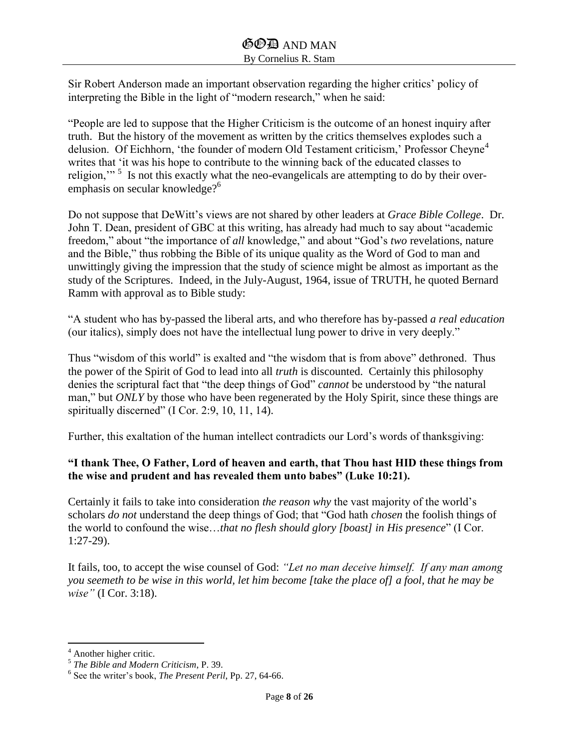Sir Robert Anderson made an important observation regarding the higher critics' policy of interpreting the Bible in the light of "modern research," when he said:

"People are led to suppose that the Higher Criticism is the outcome of an honest inquiry after truth. But the history of the movement as written by the critics themselves explodes such a delusion. Of Eichhorn, 'the founder of modern Old Testament criticism,' Professor Cheyne<sup>4</sup> writes that 'it was his hope to contribute to the winning back of the educated classes to religion,"<sup>5</sup> Is not this exactly what the neo-evangelicals are attempting to do by their overemphasis on secular knowledge?<sup>6</sup>

Do not suppose that DeWitt's views are not shared by other leaders at *Grace Bible College*. Dr. John T. Dean, president of GBC at this writing, has already had much to say about "academic freedom," about "the importance of *all* knowledge," and about "God's *two* revelations, nature and the Bible," thus robbing the Bible of its unique quality as the Word of God to man and unwittingly giving the impression that the study of science might be almost as important as the study of the Scriptures. Indeed, in the July-August, 1964, issue of TRUTH, he quoted Bernard Ramm with approval as to Bible study:

"A student who has by-passed the liberal arts, and who therefore has by-passed *a real education* (our italics), simply does not have the intellectual lung power to drive in very deeply."

Thus "wisdom of this world" is exalted and "the wisdom that is from above" dethroned. Thus the power of the Spirit of God to lead into all *truth* is discounted. Certainly this philosophy denies the scriptural fact that "the deep things of God" *cannot* be understood by "the natural man," but *ONLY* by those who have been regenerated by the Holy Spirit, since these things are spiritually discerned" (I Cor. 2:9, 10, 11, 14).

Further, this exaltation of the human intellect contradicts our Lord's words of thanksgiving:

## **"I thank Thee, O Father, Lord of heaven and earth, that Thou hast HID these things from the wise and prudent and has revealed them unto babes" (Luke 10:21).**

Certainly it fails to take into consideration *the reason why* the vast majority of the world's scholars *do not* understand the deep things of God; that "God hath *chosen* the foolish things of the world to confound the wise…*that no flesh should glory [boast] in His presence*" (I Cor. 1:27-29).

It fails, too, to accept the wise counsel of God: *"Let no man deceive himself. If any man among you seemeth to be wise in this world, let him become [take the place of] a fool, that he may be wise"* (I Cor. 3:18).

 $\overline{\phantom{a}}$ 

<sup>4</sup> Another higher critic. 5 *The Bible and Modern Criticism*, P. 39.

<sup>6</sup> See the writer's book, *The Present Peril*, Pp. 27, 64-66.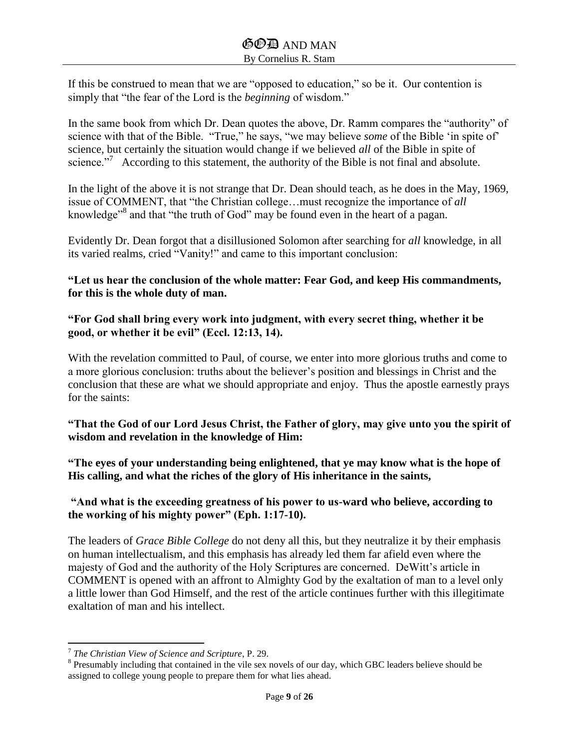If this be construed to mean that we are "opposed to education," so be it. Our contention is simply that "the fear of the Lord is the *beginning* of wisdom."

In the same book from which Dr. Dean quotes the above, Dr. Ramm compares the "authority" of science with that of the Bible. "True," he says, "we may believe *some* of the Bible 'in spite of' science, but certainly the situation would change if we believed *all* of the Bible in spite of science."<sup>7</sup> According to this statement, the authority of the Bible is not final and absolute.

In the light of the above it is not strange that Dr. Dean should teach, as he does in the May, 1969, issue of COMMENT, that "the Christian college…must recognize the importance of *all* knowledge<sup>38</sup> and that "the truth of God" may be found even in the heart of a pagan.

Evidently Dr. Dean forgot that a disillusioned Solomon after searching for *all* knowledge, in all its varied realms, cried "Vanity!" and came to this important conclusion:

**"Let us hear the conclusion of the whole matter: Fear God, and keep His commandments, for this is the whole duty of man.**

**"For God shall bring every work into judgment, with every secret thing, whether it be good, or whether it be evil" (Eccl. 12:13, 14).**

With the revelation committed to Paul, of course, we enter into more glorious truths and come to a more glorious conclusion: truths about the believer's position and blessings in Christ and the conclusion that these are what we should appropriate and enjoy. Thus the apostle earnestly prays for the saints:

**"That the God of our Lord Jesus Christ, the Father of glory, may give unto you the spirit of wisdom and revelation in the knowledge of Him:** 

**"The eyes of your understanding being enlightened, that ye may know what is the hope of His calling, and what the riches of the glory of His inheritance in the saints,**

**"And what is the exceeding greatness of his power to us-ward who believe, according to the working of his mighty power" (Eph. 1:17-10).**

The leaders of *Grace Bible College* do not deny all this, but they neutralize it by their emphasis on human intellectualism, and this emphasis has already led them far afield even where the majesty of God and the authority of the Holy Scriptures are concerned. DeWitt's article in COMMENT is opened with an affront to Almighty God by the exaltation of man to a level only a little lower than God Himself, and the rest of the article continues further with this illegitimate exaltation of man and his intellect.

 7 *The Christian View of Science and Scripture*, P. 29.

<sup>&</sup>lt;sup>8</sup> Presumably including that contained in the vile sex novels of our day, which GBC leaders believe should be assigned to college young people to prepare them for what lies ahead.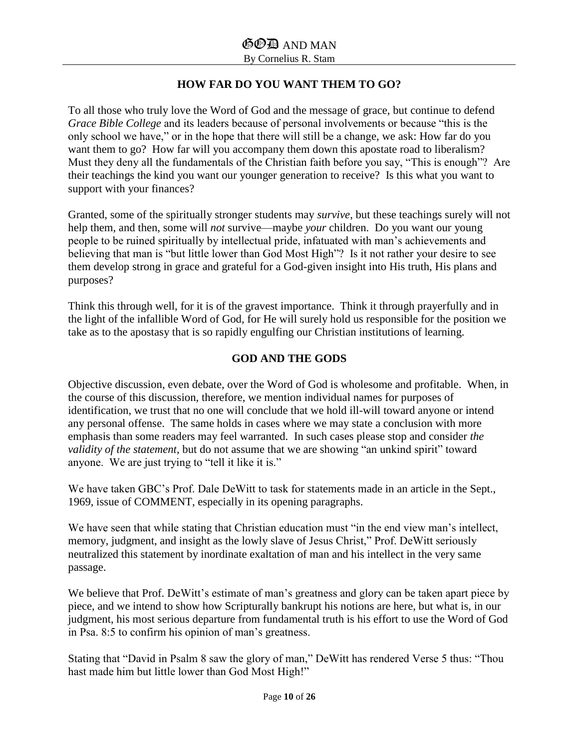## **HOW FAR DO YOU WANT THEM TO GO?**

To all those who truly love the Word of God and the message of grace, but continue to defend *Grace Bible College* and its leaders because of personal involvements or because "this is the only school we have," or in the hope that there will still be a change, we ask: How far do you want them to go? How far will you accompany them down this apostate road to liberalism? Must they deny all the fundamentals of the Christian faith before you say, "This is enough"? Are their teachings the kind you want our younger generation to receive? Is this what you want to support with your finances?

Granted, some of the spiritually stronger students may *survive*, but these teachings surely will not help them, and then, some will *not* survive—maybe *your* children. Do you want our young people to be ruined spiritually by intellectual pride, infatuated with man's achievements and believing that man is "but little lower than God Most High"? Is it not rather your desire to see them develop strong in grace and grateful for a God-given insight into His truth, His plans and purposes?

Think this through well, for it is of the gravest importance. Think it through prayerfully and in the light of the infallible Word of God, for He will surely hold us responsible for the position we take as to the apostasy that is so rapidly engulfing our Christian institutions of learning.

## **GOD AND THE GODS**

Objective discussion, even debate, over the Word of God is wholesome and profitable. When, in the course of this discussion, therefore, we mention individual names for purposes of identification, we trust that no one will conclude that we hold ill-will toward anyone or intend any personal offense. The same holds in cases where we may state a conclusion with more emphasis than some readers may feel warranted. In such cases please stop and consider *the validity of the statement*, but do not assume that we are showing "an unkind spirit" toward anyone. We are just trying to "tell it like it is."

We have taken GBC's Prof. Dale DeWitt to task for statements made in an article in the Sept., 1969, issue of COMMENT, especially in its opening paragraphs.

We have seen that while stating that Christian education must "in the end view man's intellect, memory, judgment, and insight as the lowly slave of Jesus Christ," Prof. DeWitt seriously neutralized this statement by inordinate exaltation of man and his intellect in the very same passage.

We believe that Prof. DeWitt's estimate of man's greatness and glory can be taken apart piece by piece, and we intend to show how Scripturally bankrupt his notions are here, but what is, in our judgment, his most serious departure from fundamental truth is his effort to use the Word of God in Psa. 8:5 to confirm his opinion of man's greatness.

Stating that "David in Psalm 8 saw the glory of man," DeWitt has rendered Verse 5 thus: "Thou hast made him but little lower than God Most High!"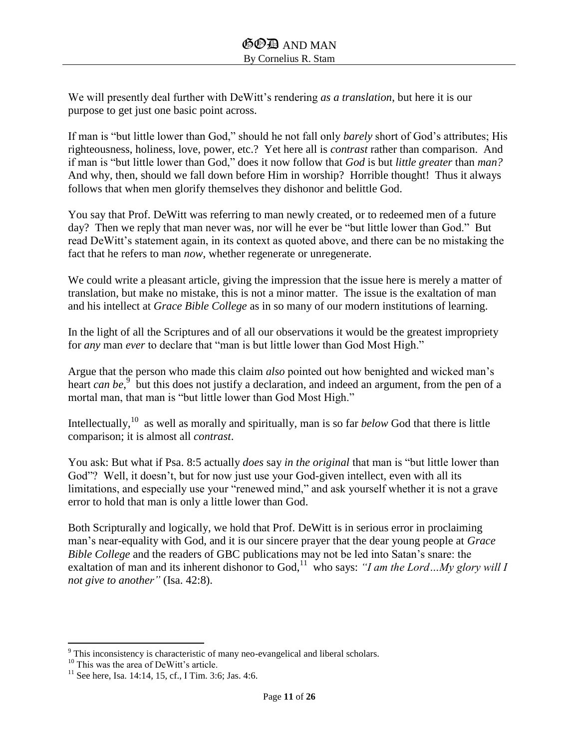We will presently deal further with DeWitt's rendering *as a translation*, but here it is our purpose to get just one basic point across.

If man is "but little lower than God," should he not fall only *barely* short of God's attributes; His righteousness, holiness, love, power, etc.? Yet here all is *contrast* rather than comparison. And if man is "but little lower than God," does it now follow that *God* is but *little greater* than *man?* And why, then, should we fall down before Him in worship? Horrible thought! Thus it always follows that when men glorify themselves they dishonor and belittle God.

You say that Prof. DeWitt was referring to man newly created, or to redeemed men of a future day? Then we reply that man never was, nor will he ever be "but little lower than God." But read DeWitt's statement again, in its context as quoted above, and there can be no mistaking the fact that he refers to man *now*, whether regenerate or unregenerate.

We could write a pleasant article, giving the impression that the issue here is merely a matter of translation, but make no mistake, this is not a minor matter. The issue is the exaltation of man and his intellect at *Grace Bible College* as in so many of our modern institutions of learning.

In the light of all the Scriptures and of all our observations it would be the greatest impropriety for *any* man *ever* to declare that "man is but little lower than God Most High."

Argue that the person who made this claim *also* pointed out how benighted and wicked man's heart *can be*,<sup>9</sup> but this does not justify a declaration, and indeed an argument, from the pen of a mortal man, that man is "but little lower than God Most High."

Intellectually,<sup>10</sup> as well as morally and spiritually, man is so far *below* God that there is little comparison; it is almost all *contrast*.

You ask: But what if Psa. 8:5 actually *does* say *in the original* that man is "but little lower than God"? Well, it doesn't, but for now just use your God-given intellect, even with all its limitations, and especially use your "renewed mind," and ask yourself whether it is not a grave error to hold that man is only a little lower than God.

Both Scripturally and logically, we hold that Prof. DeWitt is in serious error in proclaiming man's near-equality with God, and it is our sincere prayer that the dear young people at *Grace Bible College* and the readers of GBC publications may not be led into Satan's snare: the exaltation of man and its inherent dishonor to God,  $11$  who says: *"I am the Lord...My glory will I not give to another"* (Isa. 42:8).

 $\overline{\phantom{a}}$  $9$ <sup>9</sup> This inconsistency is characteristic of many neo-evangelical and liberal scholars.

<sup>&</sup>lt;sup>10</sup> This was the area of DeWitt's article.

 $11$  See here, Isa. 14:14, 15, cf., I Tim. 3:6; Jas. 4:6.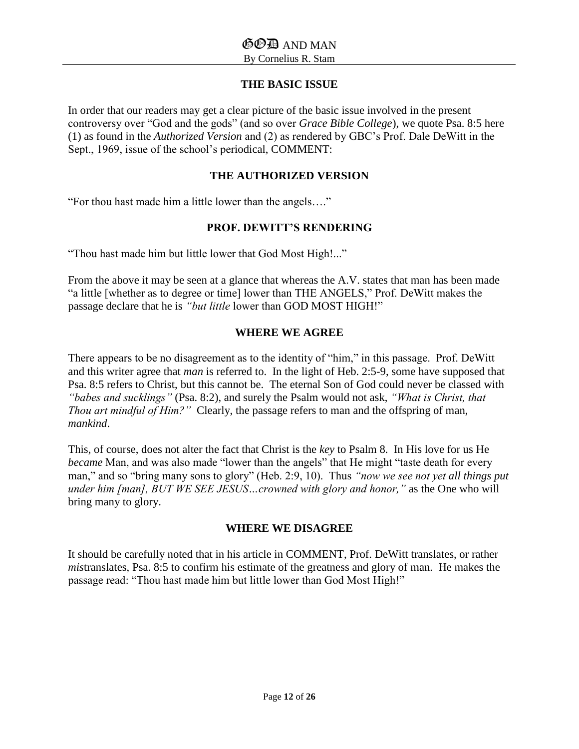## **THE BASIC ISSUE**

In order that our readers may get a clear picture of the basic issue involved in the present controversy over "God and the gods" (and so over *Grace Bible College*), we quote Psa. 8:5 here (1) as found in the *Authorized Version* and (2) as rendered by GBC's Prof. Dale DeWitt in the Sept., 1969, issue of the school's periodical, COMMENT:

#### **THE AUTHORIZED VERSION**

"For thou hast made him a little lower than the angels…."

#### **PROF. DEWITT'S RENDERING**

"Thou hast made him but little lower that God Most High!..."

From the above it may be seen at a glance that whereas the A.V. states that man has been made "a little [whether as to degree or time] lower than THE ANGELS," Prof. DeWitt makes the passage declare that he is *"but little* lower than GOD MOST HIGH!"

#### **WHERE WE AGREE**

There appears to be no disagreement as to the identity of "him," in this passage. Prof. DeWitt and this writer agree that *man* is referred to. In the light of Heb. 2:5-9, some have supposed that Psa. 8:5 refers to Christ, but this cannot be. The eternal Son of God could never be classed with *"babes and sucklings"* (Psa. 8:2), and surely the Psalm would not ask, *"What is Christ, that Thou art mindful of Him?"* Clearly, the passage refers to man and the offspring of man, *mankind*.

This, of course, does not alter the fact that Christ is the *key* to Psalm 8. In His love for us He *became* Man, and was also made "lower than the angels" that He might "taste death for every man," and so "bring many sons to glory" (Heb. 2:9, 10). Thus *"now we see not yet all things put under him [man], BUT WE SEE JESUS…crowned with glory and honor,"* as the One who will bring many to glory.

#### **WHERE WE DISAGREE**

It should be carefully noted that in his article in COMMENT, Prof. DeWitt translates, or rather *mis*translates, Psa. 8:5 to confirm his estimate of the greatness and glory of man. He makes the passage read: "Thou hast made him but little lower than God Most High!"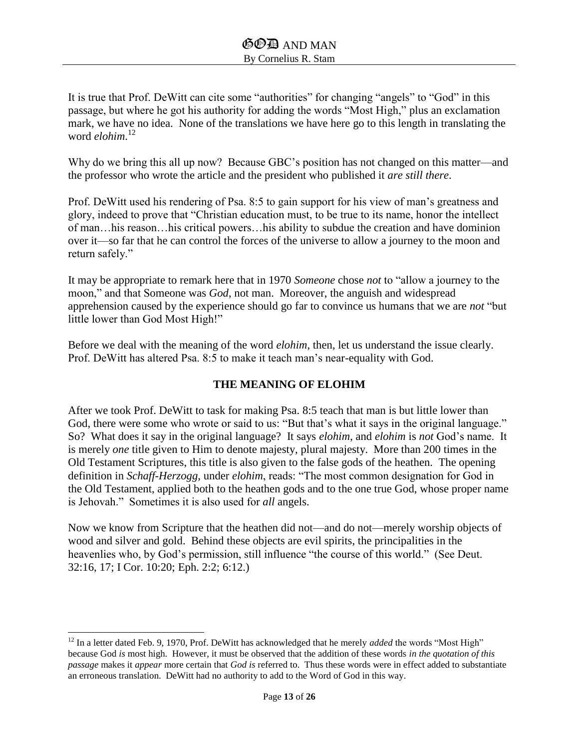It is true that Prof. DeWitt can cite some "authorities" for changing "angels" to "God" in this passage, but where he got his authority for adding the words "Most High," plus an exclamation mark, we have no idea. None of the translations we have here go to this length in translating the word *elohim*. 12

Why do we bring this all up now? Because GBC's position has not changed on this matter—and the professor who wrote the article and the president who published it *are still there*.

Prof. DeWitt used his rendering of Psa. 8:5 to gain support for his view of man's greatness and glory, indeed to prove that "Christian education must, to be true to its name, honor the intellect of man…his reason…his critical powers…his ability to subdue the creation and have dominion over it—so far that he can control the forces of the universe to allow a journey to the moon and return safely."

It may be appropriate to remark here that in 1970 *Someone* chose *not* to "allow a journey to the moon," and that Someone was *God*, not man. Moreover, the anguish and widespread apprehension caused by the experience should go far to convince us humans that we are *not* "but little lower than God Most High!"

Before we deal with the meaning of the word *elohim*, then, let us understand the issue clearly. Prof. DeWitt has altered Psa. 8:5 to make it teach man's near-equality with God.

## **THE MEANING OF ELOHIM**

After we took Prof. DeWitt to task for making Psa. 8:5 teach that man is but little lower than God, there were some who wrote or said to us: "But that's what it says in the original language." So? What does it say in the original language? It says *elohim*, and *elohim* is *not* God's name. It is merely *one* title given to Him to denote majesty, plural majesty. More than 200 times in the Old Testament Scriptures, this title is also given to the false gods of the heathen. The opening definition in *Schaff-Herzogg*, under *elohim*, reads: "The most common designation for God in the Old Testament, applied both to the heathen gods and to the one true God, whose proper name is Jehovah." Sometimes it is also used for *all* angels.

Now we know from Scripture that the heathen did not—and do not—merely worship objects of wood and silver and gold. Behind these objects are evil spirits, the principalities in the heavenlies who, by God's permission, still influence "the course of this world." (See Deut. 32:16, 17; I Cor. 10:20; Eph. 2:2; 6:12.)

 $\overline{\phantom{a}}$ 

<sup>&</sup>lt;sup>12</sup> In a letter dated Feb. 9, 1970, Prof. DeWitt has acknowledged that he merely *added* the words "Most High" because God *is* most high. However, it must be observed that the addition of these words *in the quotation of this passage* makes it *appear* more certain that *God is* referred to. Thus these words were in effect added to substantiate an erroneous translation. DeWitt had no authority to add to the Word of God in this way.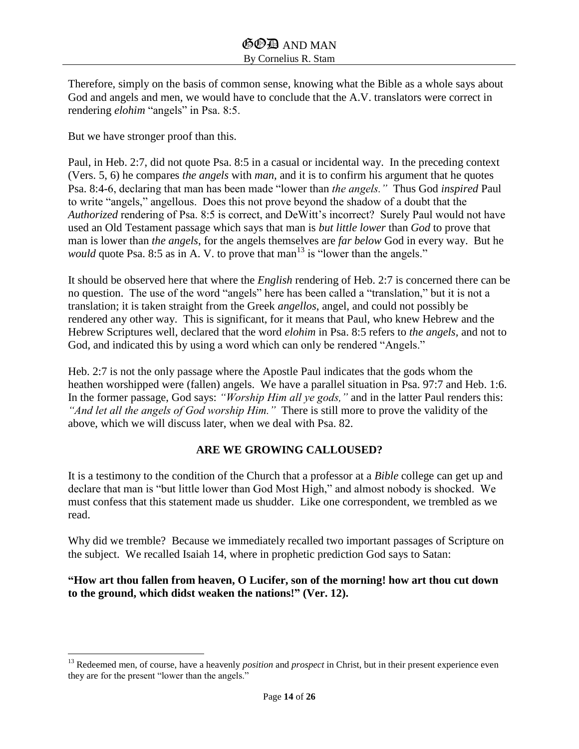Therefore, simply on the basis of common sense, knowing what the Bible as a whole says about God and angels and men, we would have to conclude that the A.V. translators were correct in rendering *elohim* "angels" in Psa. 8:5.

But we have stronger proof than this.

 $\overline{\phantom{a}}$ 

Paul, in Heb. 2:7, did not quote Psa. 8:5 in a casual or incidental way. In the preceding context (Vers. 5, 6) he compares *the angels* with *man*, and it is to confirm his argument that he quotes Psa. 8:4-6, declaring that man has been made "lower than *the angels."* Thus God *inspired* Paul to write "angels," angellous. Does this not prove beyond the shadow of a doubt that the *Authorized* rendering of Psa. 8:5 is correct, and DeWitt's incorrect? Surely Paul would not have used an Old Testament passage which says that man is *but little lower* than *God* to prove that man is lower than *the angels*, for the angels themselves are *far below* God in every way. But he *would* quote Psa. 8:5 as in A. V. to prove that man<sup>13</sup> is "lower than the angels."

It should be observed here that where the *English* rendering of Heb. 2:7 is concerned there can be no question. The use of the word "angels" here has been called a "translation," but it is not a translation; it is taken straight from the Greek *angellos*, angel, and could not possibly be rendered any other way. This is significant, for it means that Paul, who knew Hebrew and the Hebrew Scriptures well, declared that the word *elohim* in Psa. 8:5 refers to *the angels,* and not to God, and indicated this by using a word which can only be rendered "Angels."

Heb. 2:7 is not the only passage where the Apostle Paul indicates that the gods whom the heathen worshipped were (fallen) angels. We have a parallel situation in Psa. 97:7 and Heb. 1:6. In the former passage, God says: *"Worship Him all ye gods,"* and in the latter Paul renders this: *"And let all the angels of God worship Him."* There is still more to prove the validity of the above, which we will discuss later, when we deal with Psa. 82.

#### **ARE WE GROWING CALLOUSED?**

It is a testimony to the condition of the Church that a professor at a *Bible* college can get up and declare that man is "but little lower than God Most High," and almost nobody is shocked. We must confess that this statement made us shudder. Like one correspondent, we trembled as we read.

Why did we tremble? Because we immediately recalled two important passages of Scripture on the subject. We recalled Isaiah 14, where in prophetic prediction God says to Satan:

#### **"How art thou fallen from heaven, O Lucifer, son of the morning! how art thou cut down to the ground, which didst weaken the nations!" (Ver. 12).**

<sup>&</sup>lt;sup>13</sup> Redeemed men, of course, have a heavenly *position* and *prospect* in Christ, but in their present experience even they are for the present "lower than the angels."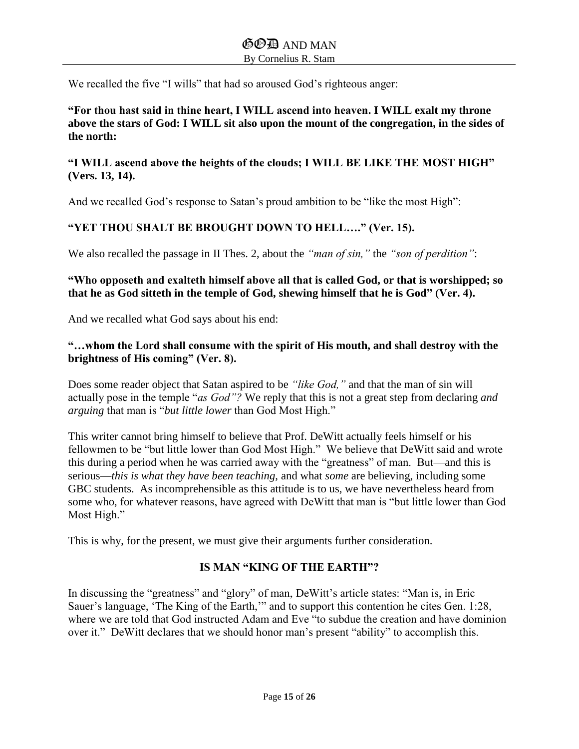We recalled the five "I wills" that had so aroused God's righteous anger:

**"For thou hast said in thine heart, I WILL ascend into heaven. I WILL exalt my throne above the stars of God: I WILL sit also upon the mount of the congregation, in the sides of the north:**

### **"I WILL ascend above the heights of the clouds; I WILL BE LIKE THE MOST HIGH" (Vers. 13, 14).**

And we recalled God's response to Satan's proud ambition to be "like the most High":

## **"YET THOU SHALT BE BROUGHT DOWN TO HELL…." (Ver. 15).**

We also recalled the passage in II Thes. 2, about the *"man of sin,"* the *"son of perdition"*:

## **"Who opposeth and exalteth himself above all that is called God, or that is worshipped; so that he as God sitteth in the temple of God, shewing himself that he is God" (Ver. 4).**

And we recalled what God says about his end:

## **"…whom the Lord shall consume with the spirit of His mouth, and shall destroy with the brightness of His coming" (Ver. 8).**

Does some reader object that Satan aspired to be *"like God,"* and that the man of sin will actually pose in the temple "*as God"?* We reply that this is not a great step from declaring *and arguing* that man is "*but little lower* than God Most High."

This writer cannot bring himself to believe that Prof. DeWitt actually feels himself or his fellowmen to be "but little lower than God Most High." We believe that DeWitt said and wrote this during a period when he was carried away with the "greatness" of man. But—and this is serious—*this is what they have been teaching,* and what *some* are believing, including some GBC students. As incomprehensible as this attitude is to us, we have nevertheless heard from some who, for whatever reasons, have agreed with DeWitt that man is "but little lower than God Most High."

This is why, for the present, we must give their arguments further consideration.

## **IS MAN "KING OF THE EARTH"?**

In discussing the "greatness" and "glory" of man, DeWitt's article states: "Man is, in Eric Sauer's language, 'The King of the Earth,'" and to support this contention he cites Gen. 1:28, where we are told that God instructed Adam and Eve "to subdue the creation and have dominion over it." DeWitt declares that we should honor man's present "ability" to accomplish this.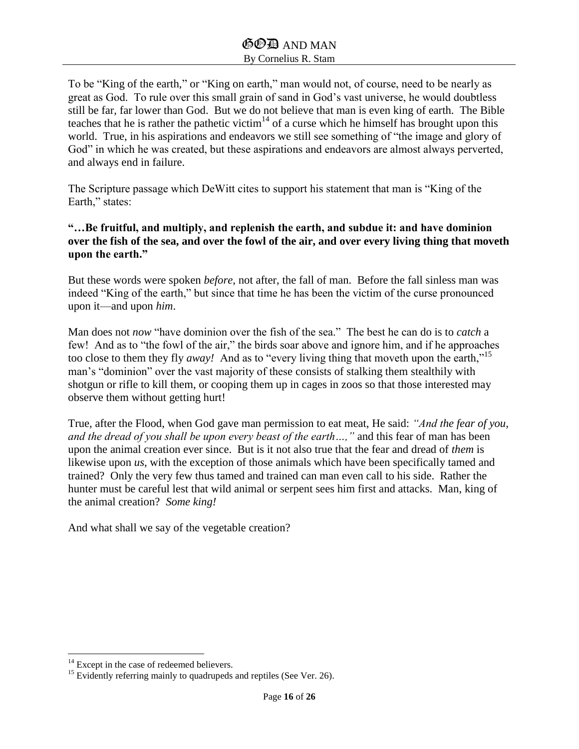To be "King of the earth," or "King on earth," man would not, of course, need to be nearly as great as God. To rule over this small grain of sand in God's vast universe, he would doubtless still be far, far lower than God. But we do not believe that man is even king of earth. The Bible teaches that he is rather the pathetic victim $14$  of a curse which he himself has brought upon this world. True, in his aspirations and endeavors we still see something of "the image and glory of God" in which he was created, but these aspirations and endeavors are almost always perverted, and always end in failure.

The Scripture passage which DeWitt cites to support his statement that man is "King of the Earth," states:

#### **"…Be fruitful, and multiply, and replenish the earth, and subdue it: and have dominion over the fish of the sea, and over the fowl of the air, and over every living thing that moveth upon the earth."**

But these words were spoken *before*, not after, the fall of man. Before the fall sinless man was indeed "King of the earth," but since that time he has been the victim of the curse pronounced upon it—and upon *him*.

Man does not *now* "have dominion over the fish of the sea." The best he can do is to *catch* a few! And as to "the fowl of the air," the birds soar above and ignore him, and if he approaches too close to them they fly *away!* And as to "every living thing that moveth upon the earth,"<sup>15</sup> man's "dominion" over the vast majority of these consists of stalking them stealthily with shotgun or rifle to kill them, or cooping them up in cages in zoos so that those interested may observe them without getting hurt!

True, after the Flood, when God gave man permission to eat meat, He said: *"And the fear of you, and the dread of you shall be upon every beast of the earth…,"* and this fear of man has been upon the animal creation ever since. But is it not also true that the fear and dread of *them* is likewise upon *us*, with the exception of those animals which have been specifically tamed and trained? Only the very few thus tamed and trained can man even call to his side. Rather the hunter must be careful lest that wild animal or serpent sees him first and attacks. Man, king of the animal creation? *Some king!*

And what shall we say of the vegetable creation?

 $\overline{\phantom{a}}$  $14$  Except in the case of redeemed believers.

 $15$  Evidently referring mainly to quadrupeds and reptiles (See Ver. 26).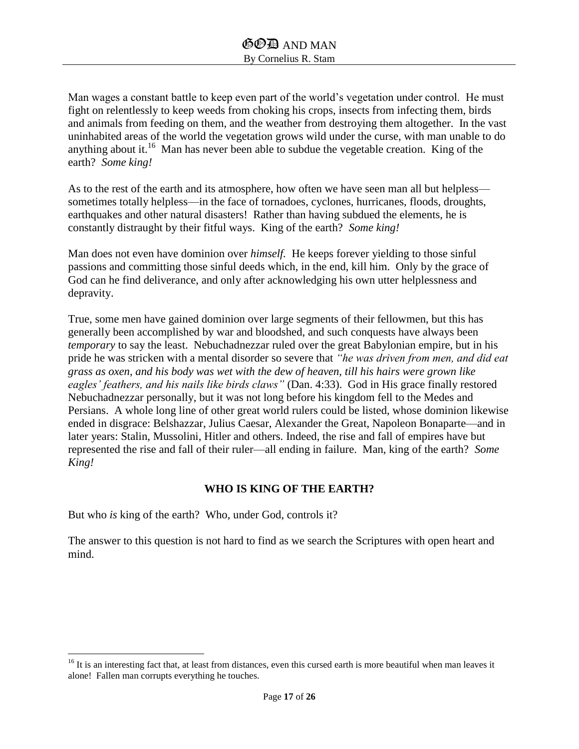Man wages a constant battle to keep even part of the world's vegetation under control. He must fight on relentlessly to keep weeds from choking his crops, insects from infecting them, birds and animals from feeding on them, and the weather from destroying them altogether. In the vast uninhabited areas of the world the vegetation grows wild under the curse, with man unable to do anything about it.<sup>16</sup> Man has never been able to subdue the vegetable creation. King of the earth? *Some king!*

As to the rest of the earth and its atmosphere, how often we have seen man all but helpless sometimes totally helpless—in the face of tornadoes, cyclones, hurricanes, floods, droughts, earthquakes and other natural disasters! Rather than having subdued the elements, he is constantly distraught by their fitful ways. King of the earth? *Some king!*

Man does not even have dominion over *himself.* He keeps forever yielding to those sinful passions and committing those sinful deeds which, in the end, kill him. Only by the grace of God can he find deliverance, and only after acknowledging his own utter helplessness and depravity.

True, some men have gained dominion over large segments of their fellowmen, but this has generally been accomplished by war and bloodshed, and such conquests have always been *temporary* to say the least. Nebuchadnezzar ruled over the great Babylonian empire, but in his pride he was stricken with a mental disorder so severe that *"he was driven from men, and did eat grass as oxen, and his body was wet with the dew of heaven, till his hairs were grown like eagles' feathers, and his nails like birds claws"* (Dan. 4:33). God in His grace finally restored Nebuchadnezzar personally, but it was not long before his kingdom fell to the Medes and Persians. A whole long line of other great world rulers could be listed, whose dominion likewise ended in disgrace: Belshazzar, Julius Caesar, Alexander the Great, Napoleon Bonaparte—and in later years: Stalin, Mussolini, Hitler and others. Indeed, the rise and fall of empires have but represented the rise and fall of their ruler—all ending in failure. Man, king of the earth? *Some King!*

#### **WHO IS KING OF THE EARTH?**

But who *is* king of the earth? Who, under God, controls it?

 $\overline{\phantom{a}}$ 

The answer to this question is not hard to find as we search the Scriptures with open heart and mind.

 $16$  It is an interesting fact that, at least from distances, even this cursed earth is more beautiful when man leaves it alone! Fallen man corrupts everything he touches.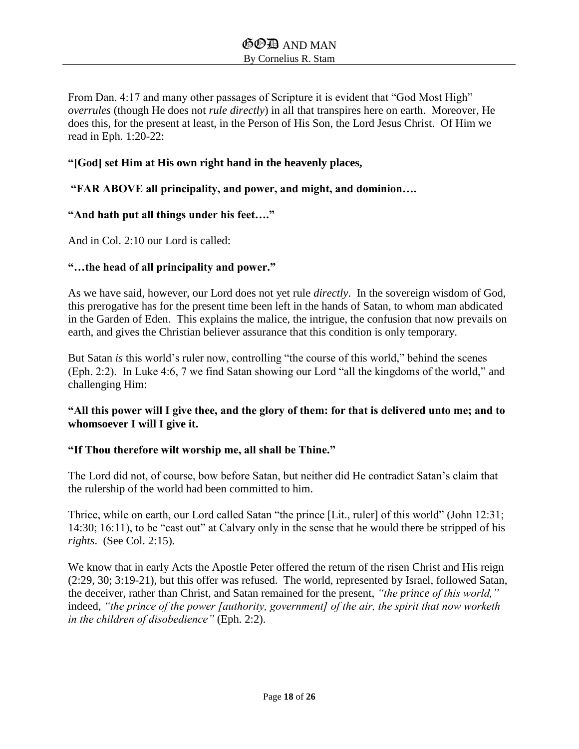From Dan. 4:17 and many other passages of Scripture it is evident that "God Most High" *overrules* (though He does not *rule directly*) in all that transpires here on earth. Moreover, He does this, for the present at least, in the Person of His Son, the Lord Jesus Christ. Of Him we read in Eph. 1:20-22:

#### **"[God] set Him at His own right hand in the heavenly places,**

#### **"FAR ABOVE all principality, and power, and might, and dominion….**

#### **"And hath put all things under his feet…."**

And in Col. 2:10 our Lord is called:

#### **"…the head of all principality and power."**

As we have said, however, our Lord does not yet rule *directly*. In the sovereign wisdom of God, this prerogative has for the present time been left in the hands of Satan, to whom man abdicated in the Garden of Eden. This explains the malice, the intrigue, the confusion that now prevails on earth, and gives the Christian believer assurance that this condition is only temporary.

But Satan *is* this world's ruler now, controlling "the course of this world," behind the scenes (Eph. 2:2). In Luke 4:6, 7 we find Satan showing our Lord "all the kingdoms of the world," and challenging Him:

## **"All this power will I give thee, and the glory of them: for that is delivered unto me; and to whomsoever I will I give it.**

#### **"If Thou therefore wilt worship me, all shall be Thine."**

The Lord did not, of course, bow before Satan, but neither did He contradict Satan's claim that the rulership of the world had been committed to him.

Thrice, while on earth, our Lord called Satan "the prince [Lit., ruler] of this world" (John 12:31; 14:30; 16:11), to be "cast out" at Calvary only in the sense that he would there be stripped of his *rights*. (See Col. 2:15).

We know that in early Acts the Apostle Peter offered the return of the risen Christ and His reign (2:29, 30; 3:19-21), but this offer was refused. The world, represented by Israel, followed Satan, the deceiver, rather than Christ, and Satan remained for the present, *"the prince of this world,"* indeed, *"the prince of the power [authority, government] of the air, the spirit that now worketh in the children of disobedience"* (Eph. 2:2).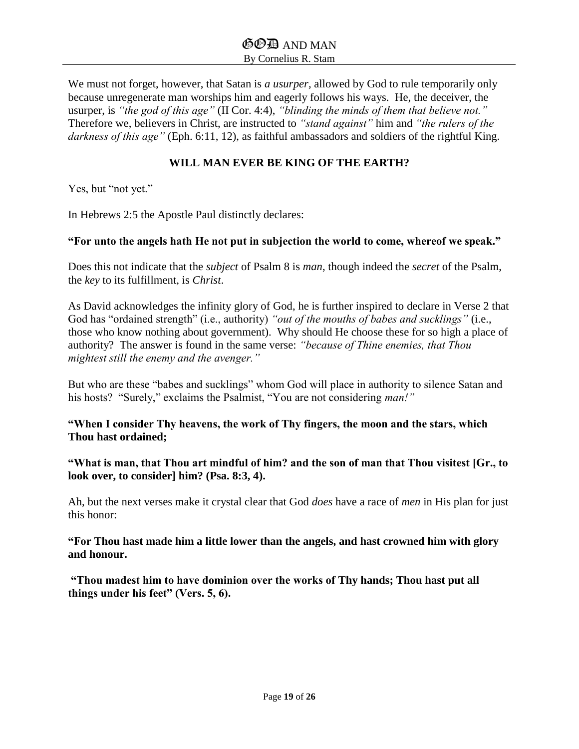We must not forget, however, that Satan is *a usurper,* allowed by God to rule temporarily only because unregenerate man worships him and eagerly follows his ways. He, the deceiver, the usurper, is *"the god of this age"* (II Cor. 4:4), *"blinding the minds of them that believe not."* Therefore we, believers in Christ, are instructed to *"stand against"* him and *"the rulers of the darkness of this age"* (Eph. 6:11, 12), as faithful ambassadors and soldiers of the rightful King.

#### **WILL MAN EVER BE KING OF THE EARTH?**

Yes, but "not yet."

In Hebrews 2:5 the Apostle Paul distinctly declares:

#### **"For unto the angels hath He not put in subjection the world to come, whereof we speak."**

Does this not indicate that the *subject* of Psalm 8 is *man*, though indeed the *secret* of the Psalm, the *key* to its fulfillment, is *Christ*.

As David acknowledges the infinity glory of God, he is further inspired to declare in Verse 2 that God has "ordained strength" (i.e., authority) *"out of the mouths of babes and sucklings"* (i.e., those who know nothing about government). Why should He choose these for so high a place of authority? The answer is found in the same verse: *"because of Thine enemies, that Thou mightest still the enemy and the avenger."*

But who are these "babes and sucklings" whom God will place in authority to silence Satan and his hosts? "Surely," exclaims the Psalmist, "You are not considering *man!"*

#### **"When I consider Thy heavens, the work of Thy fingers, the moon and the stars, which Thou hast ordained;**

**"What is man, that Thou art mindful of him? and the son of man that Thou visitest [Gr., to look over, to consider] him? (Psa. 8:3, 4).**

Ah, but the next verses make it crystal clear that God *does* have a race of *men* in His plan for just this honor:

**"For Thou hast made him a little lower than the angels, and hast crowned him with glory and honour.**

**"Thou madest him to have dominion over the works of Thy hands; Thou hast put all things under his feet" (Vers. 5, 6).**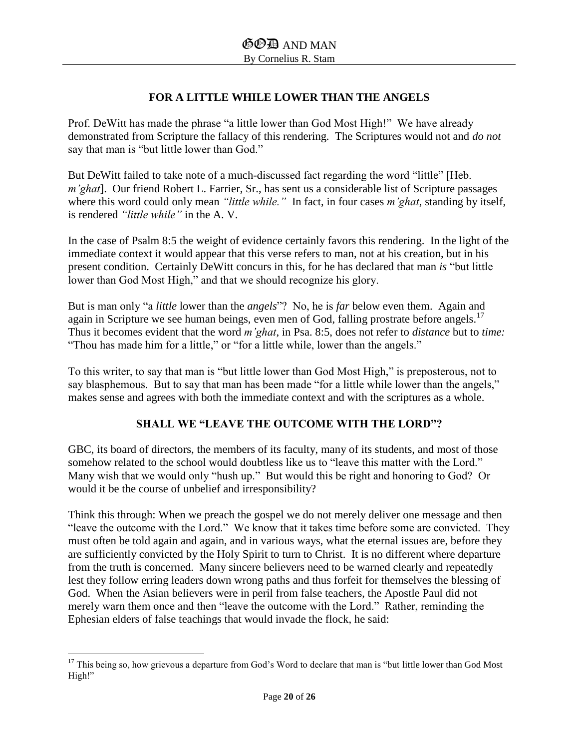## **FOR A LITTLE WHILE LOWER THAN THE ANGELS**

Prof. DeWitt has made the phrase "a little lower than God Most High!" We have already demonstrated from Scripture the fallacy of this rendering. The Scriptures would not and *do not* say that man is "but little lower than God."

But DeWitt failed to take note of a much-discussed fact regarding the word "little" [Heb. *m'ghat*]. Our friend Robert L. Farrier, Sr., has sent us a considerable list of Scripture passages where this word could only mean *"little while."* In fact, in four cases *m'ghat*, standing by itself, is rendered *"little while"* in the A. V.

In the case of Psalm 8:5 the weight of evidence certainly favors this rendering. In the light of the immediate context it would appear that this verse refers to man, not at his creation, but in his present condition. Certainly DeWitt concurs in this, for he has declared that man *is* "but little lower than God Most High," and that we should recognize his glory.

But is man only "a *little* lower than the *angels*"? No, he is *far* below even them. Again and again in Scripture we see human beings, even men of God, falling prostrate before angels.<sup>17</sup> Thus it becomes evident that the word *m'ghat*, in Psa. 8:5, does not refer to *distance* but to *time:* "Thou has made him for a little," or "for a little while, lower than the angels."

To this writer, to say that man is "but little lower than God Most High," is preposterous, not to say blasphemous. But to say that man has been made "for a little while lower than the angels," makes sense and agrees with both the immediate context and with the scriptures as a whole.

## **SHALL WE "LEAVE THE OUTCOME WITH THE LORD"?**

GBC, its board of directors, the members of its faculty, many of its students, and most of those somehow related to the school would doubtless like us to "leave this matter with the Lord." Many wish that we would only "hush up." But would this be right and honoring to God? Or would it be the course of unbelief and irresponsibility?

Think this through: When we preach the gospel we do not merely deliver one message and then "leave the outcome with the Lord." We know that it takes time before some are convicted. They must often be told again and again, and in various ways, what the eternal issues are, before they are sufficiently convicted by the Holy Spirit to turn to Christ. It is no different where departure from the truth is concerned. Many sincere believers need to be warned clearly and repeatedly lest they follow erring leaders down wrong paths and thus forfeit for themselves the blessing of God. When the Asian believers were in peril from false teachers, the Apostle Paul did not merely warn them once and then "leave the outcome with the Lord." Rather, reminding the Ephesian elders of false teachings that would invade the flock, he said:

 $\overline{\phantom{a}}$  $17$  This being so, how grievous a departure from God's Word to declare that man is "but little lower than God Most High!"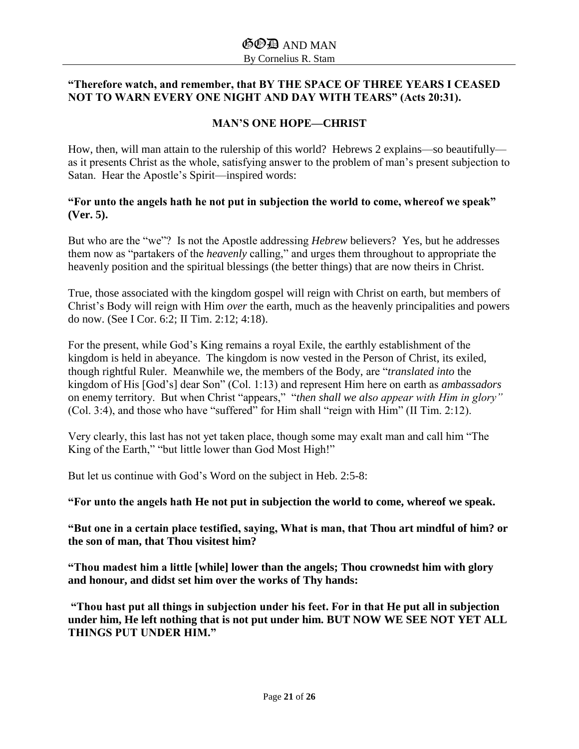## **"Therefore watch, and remember, that BY THE SPACE OF THREE YEARS I CEASED NOT TO WARN EVERY ONE NIGHT AND DAY WITH TEARS" (Acts 20:31).**

## **MAN'S ONE HOPE—CHRIST**

How, then, will man attain to the rulership of this world? Hebrews 2 explains—so beautifully as it presents Christ as the whole, satisfying answer to the problem of man's present subjection to Satan. Hear the Apostle's Spirit—inspired words:

#### **"For unto the angels hath he not put in subjection the world to come, whereof we speak" (Ver. 5).**

But who are the "we"? Is not the Apostle addressing *Hebrew* believers? Yes, but he addresses them now as "partakers of the *heavenly* calling," and urges them throughout to appropriate the heavenly position and the spiritual blessings (the better things) that are now theirs in Christ.

True, those associated with the kingdom gospel will reign with Christ on earth, but members of Christ's Body will reign with Him *over* the earth, much as the heavenly principalities and powers do now. (See I Cor. 6:2; II Tim. 2:12; 4:18).

For the present, while God's King remains a royal Exile, the earthly establishment of the kingdom is held in abeyance. The kingdom is now vested in the Person of Christ, its exiled, though rightful Ruler. Meanwhile we, the members of the Body, are "*translated into* the kingdom of His [God's] dear Son" (Col. 1:13) and represent Him here on earth as *ambassadors* on enemy territory. But when Christ "appears," "*then shall we also appear with Him in glory"* (Col. 3:4), and those who have "suffered" for Him shall "reign with Him" (II Tim. 2:12).

Very clearly, this last has not yet taken place, though some may exalt man and call him "The King of the Earth," "but little lower than God Most High!"

But let us continue with God's Word on the subject in Heb. 2:5-8:

**"For unto the angels hath He not put in subjection the world to come, whereof we speak.**

**"But one in a certain place testified, saying, What is man, that Thou art mindful of him? or the son of man, that Thou visitest him?**

**"Thou madest him a little [while] lower than the angels; Thou crownedst him with glory and honour, and didst set him over the works of Thy hands:** 

**"Thou hast put all things in subjection under his feet. For in that He put all in subjection under him, He left nothing that is not put under him. BUT NOW WE SEE NOT YET ALL THINGS PUT UNDER HIM."**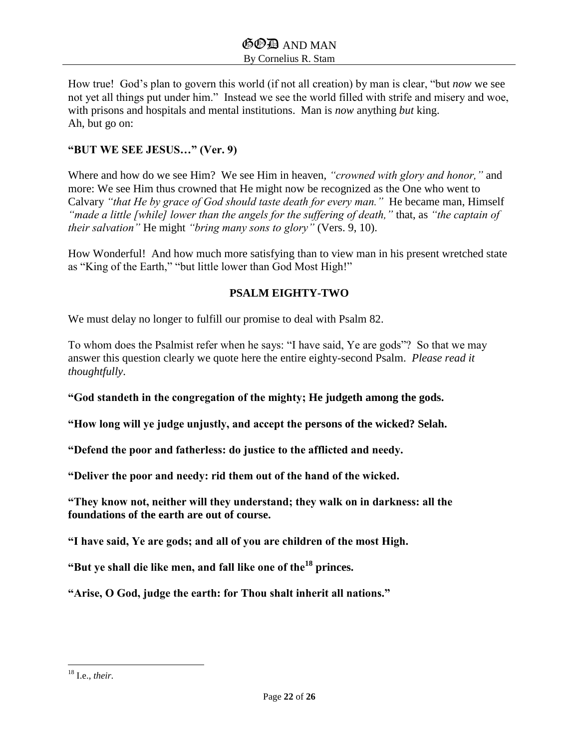How true! God's plan to govern this world (if not all creation) by man is clear, "but *now* we see not yet all things put under him." Instead we see the world filled with strife and misery and woe, with prisons and hospitals and mental institutions. Man is *now* anything *but* king. Ah, but go on:

### **"BUT WE SEE JESUS…" (Ver. 9)**

Where and how do we see Him? We see Him in heaven, *"crowned with glory and honor,"* and more: We see Him thus crowned that He might now be recognized as the One who went to Calvary *"that He by grace of God should taste death for every man."* He became man, Himself *"made a little [while] lower than the angels for the suffering of death,"* that, as *"the captain of their salvation"* He might *"bring many sons to glory"* (Vers. 9, 10).

How Wonderful! And how much more satisfying than to view man in his present wretched state as "King of the Earth," "but little lower than God Most High!"

#### **PSALM EIGHTY-TWO**

We must delay no longer to fulfill our promise to deal with Psalm 82.

To whom does the Psalmist refer when he says: "I have said, Ye are gods"? So that we may answer this question clearly we quote here the entire eighty-second Psalm. *Please read it thoughtfully*.

**"God standeth in the congregation of the mighty; He judgeth among the gods.** 

**"How long will ye judge unjustly, and accept the persons of the wicked? Selah.**

**"Defend the poor and fatherless: do justice to the afflicted and needy.** 

**"Deliver the poor and needy: rid them out of the hand of the wicked.**

**"They know not, neither will they understand; they walk on in darkness: all the foundations of the earth are out of course.** 

**"I have said, Ye are gods; and all of you are children of the most High.**

**"But ye shall die like men, and fall like one of the<sup>18</sup> princes.**

**"Arise, O God, judge the earth: for Thou shalt inherit all nations."**

 $\overline{\phantom{a}}$ 

<sup>18</sup> I.e., *their.*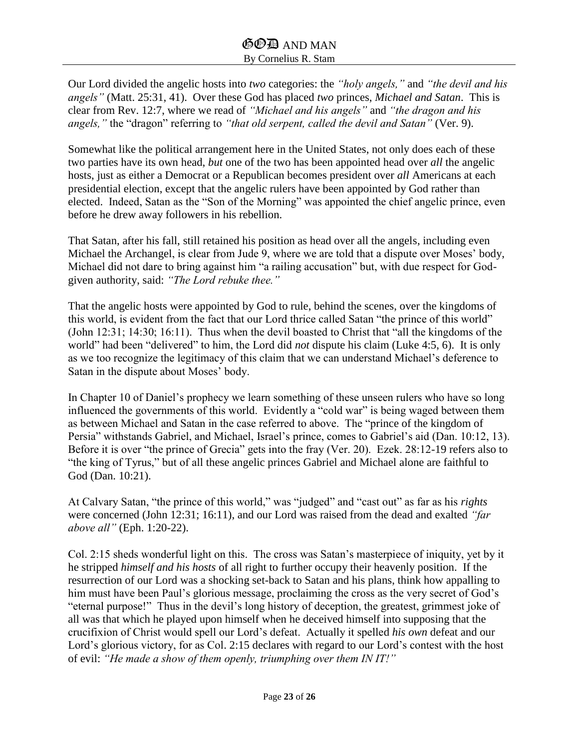Our Lord divided the angelic hosts into *two* categories: the *"holy angels,"* and *"the devil and his angels"* (Matt. 25:31, 41). Over these God has placed *two* princes, *Michael and Satan*. This is clear from Rev. 12:7, where we read of *"Michael and his angels"* and *"the dragon and his angels,"* the "dragon" referring to *"that old serpent, called the devil and Satan"* (Ver. 9).

Somewhat like the political arrangement here in the United States, not only does each of these two parties have its own head, *but* one of the two has been appointed head over *all* the angelic hosts, just as either a Democrat or a Republican becomes president over *all* Americans at each presidential election, except that the angelic rulers have been appointed by God rather than elected. Indeed, Satan as the "Son of the Morning" was appointed the chief angelic prince, even before he drew away followers in his rebellion.

That Satan, after his fall, still retained his position as head over all the angels, including even Michael the Archangel, is clear from Jude 9, where we are told that a dispute over Moses' body, Michael did not dare to bring against him "a railing accusation" but, with due respect for Godgiven authority, said: *"The Lord rebuke thee."* 

That the angelic hosts were appointed by God to rule, behind the scenes, over the kingdoms of this world, is evident from the fact that our Lord thrice called Satan "the prince of this world" (John 12:31; 14:30; 16:11). Thus when the devil boasted to Christ that "all the kingdoms of the world" had been "delivered" to him, the Lord did *not* dispute his claim (Luke 4:5, 6). It is only as we too recognize the legitimacy of this claim that we can understand Michael's deference to Satan in the dispute about Moses' body.

In Chapter 10 of Daniel's prophecy we learn something of these unseen rulers who have so long influenced the governments of this world. Evidently a "cold war" is being waged between them as between Michael and Satan in the case referred to above. The "prince of the kingdom of Persia" withstands Gabriel, and Michael, Israel's prince, comes to Gabriel's aid (Dan. 10:12, 13). Before it is over "the prince of Grecia" gets into the fray (Ver. 20). Ezek. 28:12-19 refers also to "the king of Tyrus," but of all these angelic princes Gabriel and Michael alone are faithful to God (Dan. 10:21).

At Calvary Satan, "the prince of this world," was "judged" and "cast out" as far as his *rights* were concerned (John 12:31; 16:11), and our Lord was raised from the dead and exalted *"far above all"* (Eph. 1:20-22).

Col. 2:15 sheds wonderful light on this. The cross was Satan's masterpiece of iniquity, yet by it he stripped *himself and his hosts* of all right to further occupy their heavenly position. If the resurrection of our Lord was a shocking set-back to Satan and his plans, think how appalling to him must have been Paul's glorious message, proclaiming the cross as the very secret of God's "eternal purpose!" Thus in the devil's long history of deception, the greatest, grimmest joke of all was that which he played upon himself when he deceived himself into supposing that the crucifixion of Christ would spell our Lord's defeat. Actually it spelled *his own* defeat and our Lord's glorious victory, for as Col. 2:15 declares with regard to our Lord's contest with the host of evil: *"He made a show of them openly, triumphing over them IN IT!"*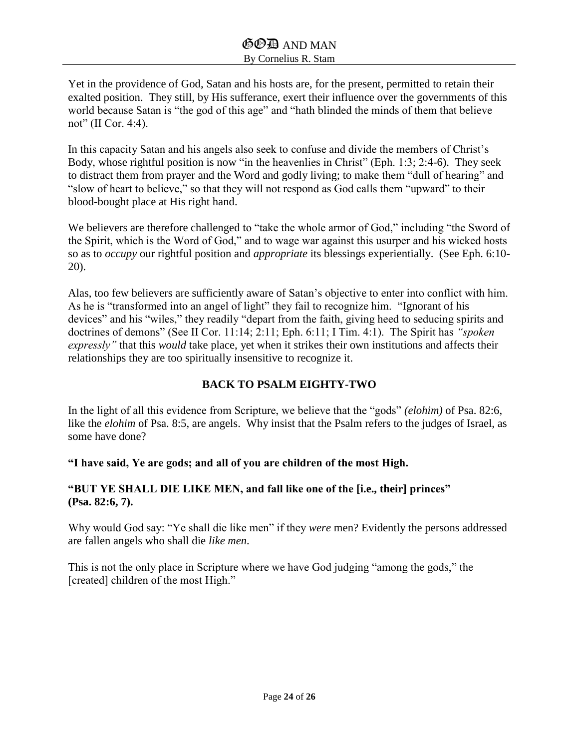Yet in the providence of God, Satan and his hosts are, for the present, permitted to retain their exalted position. They still, by His sufferance, exert their influence over the governments of this world because Satan is "the god of this age" and "hath blinded the minds of them that believe not" (II Cor. 4:4).

In this capacity Satan and his angels also seek to confuse and divide the members of Christ's Body, whose rightful position is now "in the heavenlies in Christ" (Eph. 1:3; 2:4-6). They seek to distract them from prayer and the Word and godly living; to make them "dull of hearing" and "slow of heart to believe," so that they will not respond as God calls them "upward" to their blood-bought place at His right hand.

We believers are therefore challenged to "take the whole armor of God," including "the Sword of the Spirit, which is the Word of God," and to wage war against this usurper and his wicked hosts so as to *occupy* our rightful position and *appropriate* its blessings experientially. (See Eph. 6:10- 20).

Alas, too few believers are sufficiently aware of Satan's objective to enter into conflict with him. As he is "transformed into an angel of light" they fail to recognize him. "Ignorant of his devices" and his "wiles," they readily "depart from the faith, giving heed to seducing spirits and doctrines of demons" (See II Cor. 11:14; 2:11; Eph. 6:11; I Tim. 4:1). The Spirit has *"spoken expressly"* that this *would* take place, yet when it strikes their own institutions and affects their relationships they are too spiritually insensitive to recognize it.

## **BACK TO PSALM EIGHTY-TWO**

In the light of all this evidence from Scripture, we believe that the "gods" *(elohim)* of Psa. 82:6, like the *elohim* of Psa. 8:5, are angels. Why insist that the Psalm refers to the judges of Israel, as some have done?

**"I have said, Ye are gods; and all of you are children of the most High.**

## **"BUT YE SHALL DIE LIKE MEN, and fall like one of the [i.e., their] princes" (Psa. 82:6, 7).**

Why would God say: "Ye shall die like men" if they *were* men? Evidently the persons addressed are fallen angels who shall die *like men*.

This is not the only place in Scripture where we have God judging "among the gods," the [created] children of the most High."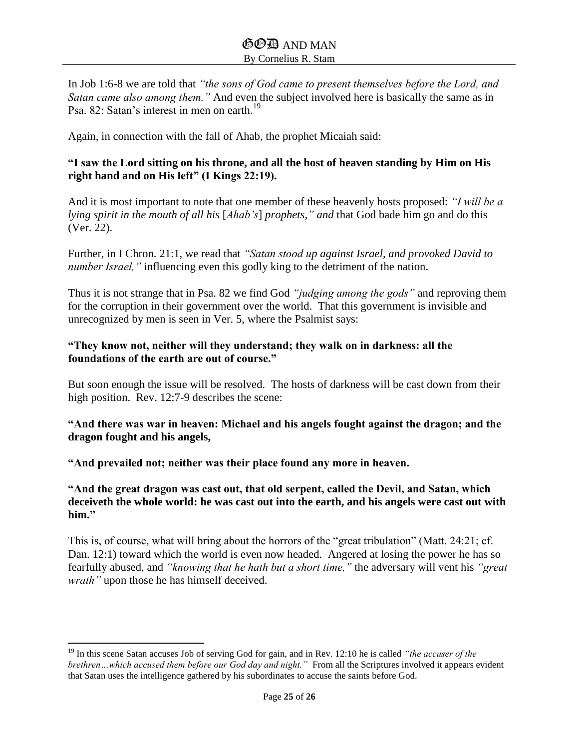In Job 1:6-8 we are told that *"the sons of God came to present themselves before the Lord, and Satan came also among them."* And even the subject involved here is basically the same as in Psa. 82: Satan's interest in men on earth.<sup>19</sup>

Again, in connection with the fall of Ahab, the prophet Micaiah said:

#### **"I saw the Lord sitting on his throne, and all the host of heaven standing by Him on His right hand and on His left" (I Kings 22:19).**

And it is most important to note that one member of these heavenly hosts proposed: *"I will be a lying spirit in the mouth of all his* [*Ahab's*] *prophets," and* that God bade him go and do this (Ver. 22).

Further, in I Chron. 21:1, we read that *"Satan stood up against Israel, and provoked David to number Israel,"* influencing even this godly king to the detriment of the nation.

Thus it is not strange that in Psa. 82 we find God *"judging among the gods"* and reproving them for the corruption in their government over the world. That this government is invisible and unrecognized by men is seen in Ver. 5, where the Psalmist says:

#### **"They know not, neither will they understand; they walk on in darkness: all the foundations of the earth are out of course."**

But soon enough the issue will be resolved. The hosts of darkness will be cast down from their high position. Rev. 12:7-9 describes the scene:

#### **"And there was war in heaven: Michael and his angels fought against the dragon; and the dragon fought and his angels,**

**"And prevailed not; neither was their place found any more in heaven.**

 $\overline{\phantom{a}}$ 

**"And the great dragon was cast out, that old serpent, called the Devil, and Satan, which deceiveth the whole world: he was cast out into the earth, and his angels were cast out with him."**

This is, of course, what will bring about the horrors of the "great tribulation" (Matt. 24:21; cf. Dan. 12:1) toward which the world is even now headed. Angered at losing the power he has so fearfully abused, and *"knowing that he hath but a short time,"* the adversary will vent his *"great wrath"* upon those he has himself deceived.

<sup>19</sup> In this scene Satan accuses Job of serving God for gain, and in Rev. 12:10 he is called *"the accuser of the brethren…which accused them before our God day and night."* From all the Scriptures involved it appears evident that Satan uses the intelligence gathered by his subordinates to accuse the saints before God.